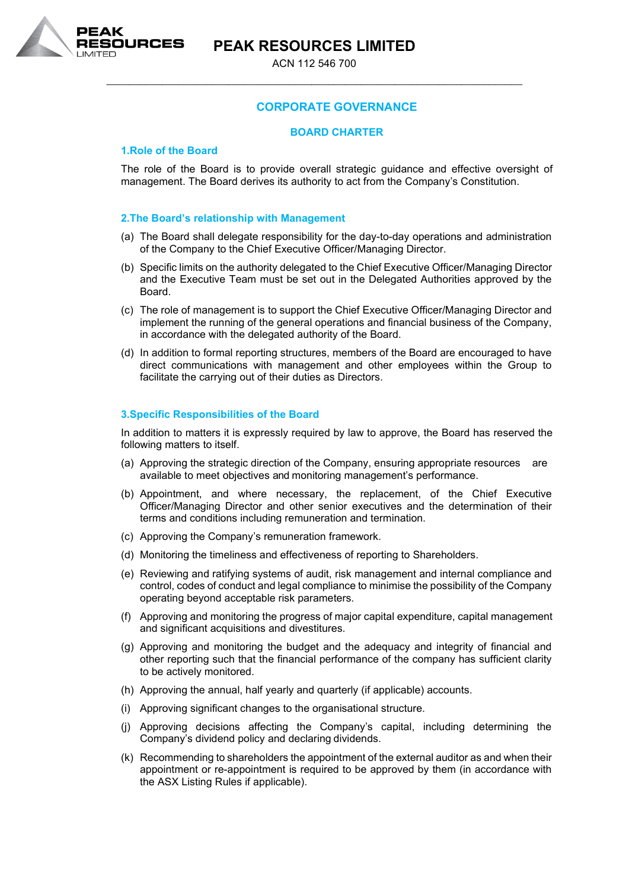**PEAK RESOURCES LIMITED**



ACN 112 546 700 \_\_\_\_\_\_\_\_\_\_\_\_\_\_\_\_\_\_\_\_\_\_\_\_\_\_\_\_\_\_\_\_\_\_\_\_\_\_\_\_\_\_\_\_\_\_\_\_\_\_\_\_\_\_\_\_\_\_\_\_\_\_\_\_\_\_\_\_\_\_\_\_\_\_\_

# **CORPORATE GOVERNANCE**

# **BOARD CHARTER**

# **1.Role of the Board**

The role of the Board is to provide overall strategic guidance and effective oversight of management. The Board derives its authority to act from the Company's Constitution.

### **2.The Board's relationship with Management**

- (a) The Board shall delegate responsibility for the day-to-day operations and administration of the Company to the Chief Executive Officer/Managing Director.
- (b) Specific limits on the authority delegated to the Chief Executive Officer/Managing Director and the Executive Team must be set out in the Delegated Authorities approved by the Board.
- (c) The role of management is to support the Chief Executive Officer/Managing Director and implement the running of the general operations and financial business of the Company, in accordance with the delegated authority of the Board.
- (d) In addition to formal reporting structures, members of the Board are encouraged to have direct communications with management and other employees within the Group to facilitate the carrying out of their duties as Directors.

### **3.Specific Responsibilities of the Board**

In addition to matters it is expressly required by law to approve, the Board has reserved the following matters to itself.

- (a) Approving the strategic direction of the Company, ensuring appropriate resources are available to meet objectives and monitoring management's performance.
- (b) Appointment, and where necessary, the replacement, of the Chief Executive Officer/Managing Director and other senior executives and the determination of their terms and conditions including remuneration and termination.
- (c) Approving the Company's remuneration framework.
- (d) Monitoring the timeliness and effectiveness of reporting to Shareholders.
- (e) Reviewing and ratifying systems of audit, risk management and internal compliance and control, codes of conduct and legal compliance to minimise the possibility of the Company operating beyond acceptable risk parameters.
- (f) Approving and monitoring the progress of major capital expenditure, capital management and significant acquisitions and divestitures.
- (g) Approving and monitoring the budget and the adequacy and integrity of financial and other reporting such that the financial performance of the company has sufficient clarity to be actively monitored.
- (h) Approving the annual, half yearly and quarterly (if applicable) accounts.
- (i) Approving significant changes to the organisational structure.
- (j) Approving decisions affecting the Company's capital, including determining the Company's dividend policy and declaring dividends.
- (k) Recommending to shareholders the appointment of the external auditor as and when their appointment or re-appointment is required to be approved by them (in accordance with the ASX Listing Rules if applicable).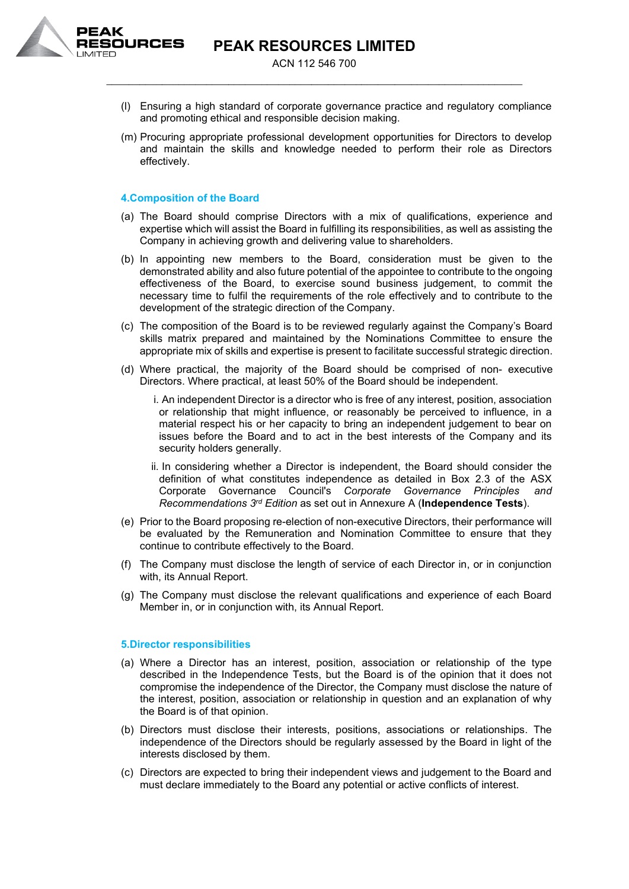

- (l) Ensuring a high standard of corporate governance practice and regulatory compliance and promoting ethical and responsible decision making.
- (m) Procuring appropriate professional development opportunities for Directors to develop and maintain the skills and knowledge needed to perform their role as Directors effectively.

# **4.Composition of the Board**

- (a) The Board should comprise Directors with a mix of qualifications, experience and expertise which will assist the Board in fulfilling its responsibilities, as well as assisting the Company in achieving growth and delivering value to shareholders.
- (b) In appointing new members to the Board, consideration must be given to the demonstrated ability and also future potential of the appointee to contribute to the ongoing effectiveness of the Board, to exercise sound business judgement, to commit the necessary time to fulfil the requirements of the role effectively and to contribute to the development of the strategic direction of the Company.
- (c) The composition of the Board is to be reviewed regularly against the Company's Board skills matrix prepared and maintained by the Nominations Committee to ensure the appropriate mix of skills and expertise is present to facilitate successful strategic direction.
- (d) Where practical, the majority of the Board should be comprised of non- executive Directors. Where practical, at least 50% of the Board should be independent.
	- i. An independent Director is a director who is free of any interest, position, association or relationship that might influence, or reasonably be perceived to influence, in a material respect his or her capacity to bring an independent judgement to bear on issues before the Board and to act in the best interests of the Company and its security holders generally.
	- ii. In considering whether a Director is independent, the Board should consider the definition of what constitutes independence as detailed in Box 2.3 of the ASX Corporate Governance Council's *Corporate Governance Principles and Recommendations 3rd Edition* as set out in Annexure A (**Independence Tests**).
- (e) Prior to the Board proposing re-election of non-executive Directors, their performance will be evaluated by the Remuneration and Nomination Committee to ensure that they continue to contribute effectively to the Board.
- (f) The Company must disclose the length of service of each Director in, or in conjunction with, its Annual Report.
- (g) The Company must disclose the relevant qualifications and experience of each Board Member in, or in conjunction with, its Annual Report.

#### **5.Director responsibilities**

- (a) Where a Director has an interest, position, association or relationship of the type described in the Independence Tests, but the Board is of the opinion that it does not compromise the independence of the Director, the Company must disclose the nature of the interest, position, association or relationship in question and an explanation of why the Board is of that opinion.
- (b) Directors must disclose their interests, positions, associations or relationships. The independence of the Directors should be regularly assessed by the Board in light of the interests disclosed by them.
- (c) Directors are expected to bring their independent views and judgement to the Board and must declare immediately to the Board any potential or active conflicts of interest.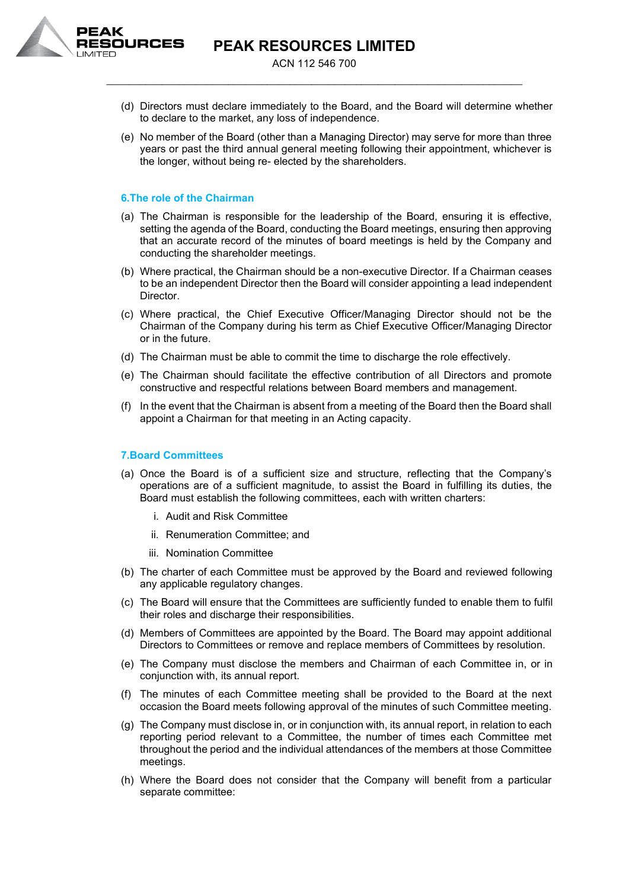

- (d) Directors must declare immediately to the Board, and the Board will determine whether to declare to the market, any loss of independence.
- (e) No member of the Board (other than a Managing Director) may serve for more than three years or past the third annual general meeting following their appointment, whichever is the longer, without being re- elected by the shareholders.

### **6.The role of the Chairman**

- (a) The Chairman is responsible for the leadership of the Board, ensuring it is effective, setting the agenda of the Board, conducting the Board meetings, ensuring then approving that an accurate record of the minutes of board meetings is held by the Company and conducting the shareholder meetings.
- (b) Where practical, the Chairman should be a non-executive Director. If a Chairman ceases to be an independent Director then the Board will consider appointing a lead independent Director.
- (c) Where practical, the Chief Executive Officer/Managing Director should not be the Chairman of the Company during his term as Chief Executive Officer/Managing Director or in the future.
- (d) The Chairman must be able to commit the time to discharge the role effectively.
- (e) The Chairman should facilitate the effective contribution of all Directors and promote constructive and respectful relations between Board members and management.
- (f) In the event that the Chairman is absent from a meeting of the Board then the Board shall appoint a Chairman for that meeting in an Acting capacity.

# **7.Board Committees**

- (a) Once the Board is of a sufficient size and structure, reflecting that the Company's operations are of a sufficient magnitude, to assist the Board in fulfilling its duties, the Board must establish the following committees, each with written charters:
	- i. Audit and Risk Committee
	- ii. Renumeration Committee; and
	- iii. Nomination Committee
- (b) The charter of each Committee must be approved by the Board and reviewed following any applicable regulatory changes.
- (c) The Board will ensure that the Committees are sufficiently funded to enable them to fulfil their roles and discharge their responsibilities.
- (d) Members of Committees are appointed by the Board. The Board may appoint additional Directors to Committees or remove and replace members of Committees by resolution.
- (e) The Company must disclose the members and Chairman of each Committee in, or in conjunction with, its annual report.
- (f) The minutes of each Committee meeting shall be provided to the Board at the next occasion the Board meets following approval of the minutes of such Committee meeting.
- (g) The Company must disclose in, or in conjunction with, its annual report, in relation to each reporting period relevant to a Committee, the number of times each Committee met throughout the period and the individual attendances of the members at those Committee meetings.
- (h) Where the Board does not consider that the Company will benefit from a particular separate committee: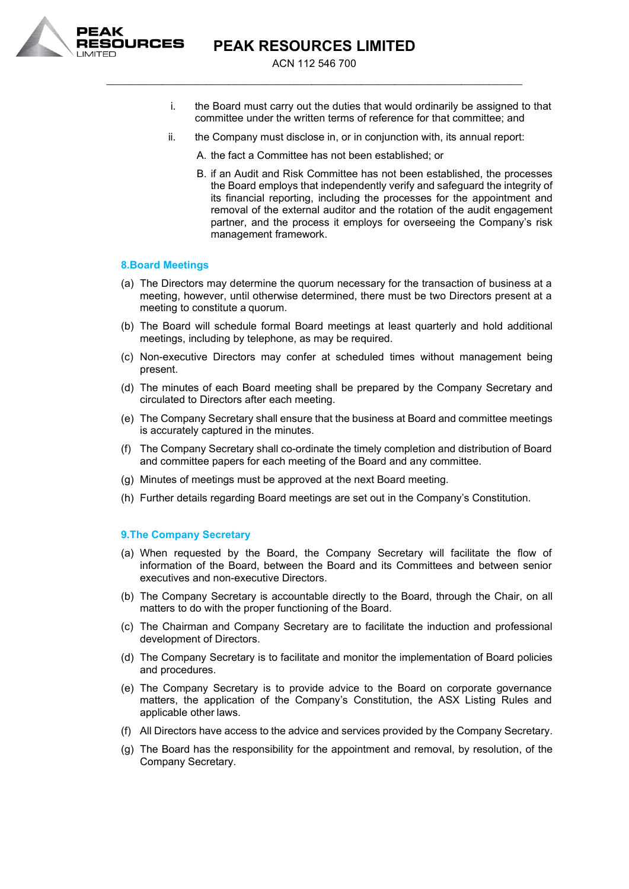

- i. the Board must carry out the duties that would ordinarily be assigned to that committee under the written terms of reference for that committee; and
- ii. the Company must disclose in, or in conjunction with, its annual report:
	- A. the fact a Committee has not been established; or
	- B. if an Audit and Risk Committee has not been established, the processes the Board employs that independently verify and safeguard the integrity of its financial reporting, including the processes for the appointment and removal of the external auditor and the rotation of the audit engagement partner, and the process it employs for overseeing the Company's risk management framework.

### **8.Board Meetings**

- (a) The Directors may determine the quorum necessary for the transaction of business at a meeting, however, until otherwise determined, there must be two Directors present at a meeting to constitute a quorum.
- (b) The Board will schedule formal Board meetings at least quarterly and hold additional meetings, including by telephone, as may be required.
- (c) Non-executive Directors may confer at scheduled times without management being present.
- (d) The minutes of each Board meeting shall be prepared by the Company Secretary and circulated to Directors after each meeting.
- (e) The Company Secretary shall ensure that the business at Board and committee meetings is accurately captured in the minutes.
- (f) The Company Secretary shall co-ordinate the timely completion and distribution of Board and committee papers for each meeting of the Board and any committee.
- (g) Minutes of meetings must be approved at the next Board meeting.
- (h) Further details regarding Board meetings are set out in the Company's Constitution.

#### **9.The Company Secretary**

- (a) When requested by the Board, the Company Secretary will facilitate the flow of information of the Board, between the Board and its Committees and between senior executives and non-executive Directors.
- (b) The Company Secretary is accountable directly to the Board, through the Chair, on all matters to do with the proper functioning of the Board.
- (c) The Chairman and Company Secretary are to facilitate the induction and professional development of Directors.
- (d) The Company Secretary is to facilitate and monitor the implementation of Board policies and procedures.
- (e) The Company Secretary is to provide advice to the Board on corporate governance matters, the application of the Company's Constitution, the ASX Listing Rules and applicable other laws.
- (f) All Directors have access to the advice and services provided by the Company Secretary.
- (g) The Board has the responsibility for the appointment and removal, by resolution, of the Company Secretary.